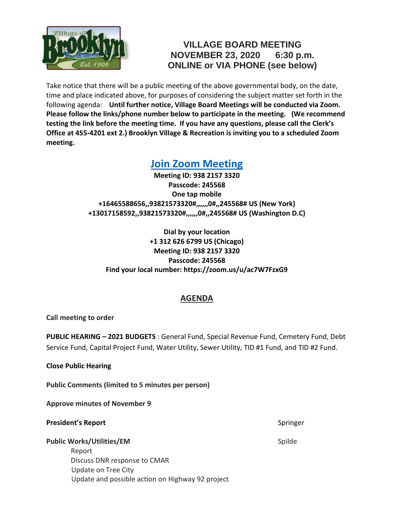

## **VILLAGE BOARD MEETING NOVEMBER 23, 2020 6:30 p.m. ONLINE or VIA PHONE (see below)**

Take notice that there will be a public meeting of the above governmental body, on the date, time and place indicated above, for purposes of considering the subject matter set forth in the following agenda: **Until further notice, Village Board Meetings will be conducted via Zoom. Please follow the links/phone number below to participate in the meeting. (We recommend testing the link before the meeting time. If you have any questions, please call the Clerk's Office at 455-4201 ext 2.) Brooklyn Village & Recreation is inviting you to a scheduled Zoom meeting.**

# **[Join Zoom Meeting](https://zoom.us/j/93821573320?pwd=ditydXQzRmQ1U2ltcUYyNlZKZXErQT09)**

**Meeting ID: 938 2157 3320 Passcode: 245568 One tap mobile +16465588656,,93821573320#,,,,,,0#,,245568# US (New York) +13017158592,,93821573320#,,,,,,0#,,245568# US (Washington D.C)**

**Dial by your location +1 312 626 6799 US (Chicago) Meeting ID: 938 2157 3320 Passcode: 245568 Find your local number: https://zoom.us/u/ac7W7FzxG9**

### **AGENDA**

**Call meeting to order**

**PUBLIC HEARING – 2021 BUDGETS** : General Fund, Special Revenue Fund, Cemetery Fund, Debt Service Fund, Capital Project Fund, Water Utility, Sewer Utility, TID #1 Fund, and TID #2 Fund.

**Close Public Hearing**

**Public Comments (limited to 5 minutes per person)**

**Approve minutes of November 9**

#### **President's Report** Springer Springer Springer Springer Springer Springer Springer Springer Springer Springer Springer Springer Springer Springer Springer Springer Springer Springer Springer Springer Springer Springer Spr

#### **Public Works/Utilities/EM** Spilde **Spille Spille Spille Spille Spille Spille Spille Spille Spille Spille Spille Spille Spille Spille Spille Spille Spille Spille Spille Spille Spille Spille Spille Spille Spille Spille Spil**

 Report Discuss DNR response to CMAR Update on Tree City Update and possible action on Highway 92 project